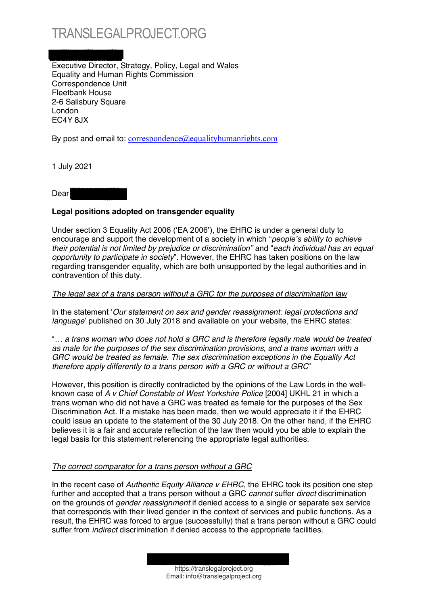## TRANSLEGALPROJECT.ORG

j Executive Director, Strategy, Policy, Legal and Wales Equality and Human Rights Commission Correspondence Unit Fleetbank House 2-6 Salisbury Square London EC4Y 8JX

By post and email to:  $correspondence$  $@equality human rights.com$ 

1 July 2021

Dear

## **Legal positions adopted on transgender equality**

Under section 3 Equality Act 2006 ('EA 2006'), the EHRC is under a general duty to encourage and support the development of a society in which "*people's ability to achieve their potential is not limited by prejudice or discrimination*<sup>*n*</sup> and "*each individual has an equal opportunity to participate in society*´. However, the EHRC has taken positions on the law regarding transgender equality, which are both unsupported by the legal authorities and in contravention of this duty.

## *The legal sex of a trans person without a GRC for the purposes of discrimination law*

In the statement 'Our statement on sex and gender reassignment: legal protections and *language*' published on 30 July 2018 and available on your website, the EHRC states:

³*« a trans woman who does not hold a GRC and is therefore legally male would be treated as male for the purposes of the sex discrimination provisions, and a trans woman with a GRC would be treated as female. The sex discrimination exceptions in the Equality Act therefore apply differently to a trans person with a GRC or without a GRC*´

However, this position is directly contradicted by the opinions of the Law Lords in the wellknown case of *A v Chief Constable of West Yorkshire Police* [2004] UKHL 21 in which a trans woman who did not have a GRC was treated as female for the purposes of the Sex Discrimination Act. If a mistake has been made, then we would appreciate it if the EHRC could issue an update to the statement of the 30 July 2018. On the other hand, if the EHRC believes it is a fair and accurate reflection of the law then would you be able to explain the legal basis for this statement referencing the appropriate legal authorities.

## *The correct comparator for a trans person without a GRC*

In the recent case of *Authentic Equity Alliance v EHRC*, the EHRC took its position one step further and accepted that a trans person without a GRC *cannot* suffer *direct* discrimination on the grounds of *gender reassignment* if denied access to a single or separate sex service that corresponds with their lived gender in the context of services and public functions. As a result, the EHRC was forced to argue (successfully) that a trans person without a GRC could suffer from *indirect* discrimination if denied access to the appropriate facilities.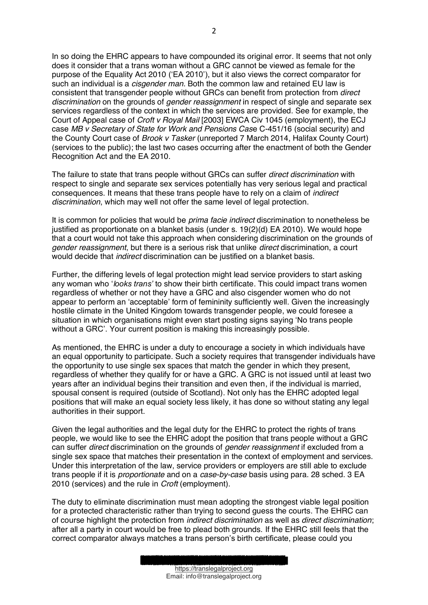In so doing the EHRC appears to have compounded its original error. It seems that not only does it consider that a trans woman without a GRC cannot be viewed as female for the purpose of the Equality Act 2010 ('EA 2010'), but it also views the correct comparator for such an individual is a *cisgender man*. Both the common law and retained EU law is consistent that transgender people without GRCs can benefit from protection from *direct discrimination* on the grounds of *gender reassignment* in respect of single and separate sex services regardless of the context in which the services are provided. See for example, the Court of Appeal case of *Croft v Royal Mail* [2003] EWCA Civ 1045 (employment), the ECJ case *MB v Secretary of State for Work and Pensions Cas*e C-451/16 (social security) and the County Court case of *Brook v Tasker* (unreported 7 March 2014, Halifax County Court) (services to the public); the last two cases occurring after the enactment of both the Gender Recognition Act and the EA 2010.

The failure to state that trans people without GRCs can suffer *direct discrimination* with respect to single and separate sex services potentially has very serious legal and practical consequences. It means that these trans people have to rely on a claim of *indirect discrimination*, which may well not offer the same level of legal protection.

It is common for policies that would be *prima facie indirect* discrimination to nonetheless be justified as proportionate on a blanket basis (under s. 19(2)(d) EA 2010). We would hope that a court would not take this approach when considering discrimination on the grounds of *gender reassignment*, but there is a serious risk that unlike *direct* discrimination, a court would decide that *indirect* discrimination can be justified on a blanket basis.

Further, the differing levels of legal protection might lead service providers to start asking any woman who 'looks trans' to show their birth certificate. This could impact trans women regardless of whether or not they have a GRC and also cisgender women who do not appear to perform an 'acceptable' form of femininity sufficiently well. Given the increasingly hostile climate in the United Kingdom towards transgender people, we could foresee a situation in which organisations might even start posting signs saving 'No trans people without a GRC'. Your current position is making this increasingly possible.

As mentioned, the EHRC is under a duty to encourage a society in which individuals have an equal opportunity to participate. Such a society requires that transgender individuals have the opportunity to use single sex spaces that match the gender in which they present, regardless of whether they qualify for or have a GRC. A GRC is not issued until at least two years after an individual begins their transition and even then, if the individual is married, spousal consent is required (outside of Scotland). Not only has the EHRC adopted legal positions that will make an equal society less likely, it has done so without stating any legal authorities in their support.

Given the legal authorities and the legal duty for the EHRC to protect the rights of trans people, we would like to see the EHRC adopt the position that trans people without a GRC can suffer *direct* discrimination on the grounds of *gender reassignment* if excluded from a single sex space that matches their presentation in the context of employment and services. Under this interpretation of the law, service providers or employers are still able to exclude trans people if it is *proportionate* and on a *case-by-case* basis using para. 28 sched. 3 EA 2010 (services) and the rule in *Croft* (employment).

The duty to eliminate discrimination must mean adopting the strongest viable legal position for a protected characteristic rather than trying to second guess the courts. The EHRC can of course highlight the protection from *indirect discrimination* as well as *direct discrimination*; after all a party in court would be free to plead both grounds. If the EHRC still feels that the correct comparator always matches a trans person's birth certificate, please could you